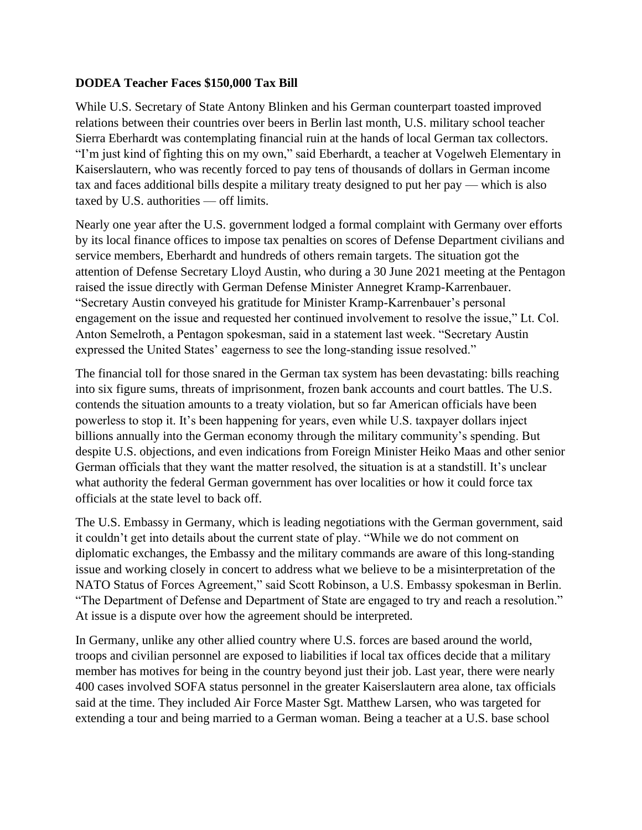## **DODEA Teacher Faces \$150,000 Tax Bill**

While U.S. Secretary of State Antony Blinken and his German counterpart toasted improved relations between their countries over beers in Berlin last month, U.S. military school teacher Sierra Eberhardt was contemplating financial ruin at the hands of local German tax collectors. "I'm just kind of fighting this on my own," said Eberhardt, a teacher at Vogelweh Elementary in Kaiserslautern, who was recently forced to pay tens of thousands of dollars in German income tax and faces additional bills despite a military treaty designed to put her pay — which is also taxed by U.S. authorities — off limits.

Nearly one year after the U.S. government lodged a formal complaint with Germany over efforts by its local finance offices to impose tax penalties on scores of Defense Department civilians and service members, Eberhardt and hundreds of others remain targets. The situation got the attention of Defense Secretary Lloyd Austin, who during a 30 June 2021 meeting at the Pentagon raised the issue directly with German Defense Minister Annegret Kramp-Karrenbauer. "Secretary Austin conveyed his gratitude for Minister Kramp-Karrenbauer's personal engagement on the issue and requested her continued involvement to resolve the issue," Lt. Col. Anton Semelroth, a Pentagon spokesman, said in a statement last week. "Secretary Austin expressed the United States' eagerness to see the long-standing issue resolved."

The financial toll for those snared in the German tax system has been devastating: bills reaching into six figure sums, threats of imprisonment, frozen bank accounts and court battles. The U.S. contends the situation amounts to a treaty violation, but so far American officials have been powerless to stop it. It's been happening for years, even while U.S. taxpayer dollars inject billions annually into the German economy through the military community's spending. But despite U.S. objections, and even indications from Foreign Minister Heiko Maas and other senior German officials that they want the matter resolved, the situation is at a standstill. It's unclear what authority the federal German government has over localities or how it could force tax officials at the state level to back off.

The U.S. Embassy in Germany, which is leading negotiations with the German government, said it couldn't get into details about the current state of play. "While we do not comment on diplomatic exchanges, the Embassy and the military commands are aware of this long-standing issue and working closely in concert to address what we believe to be a misinterpretation of the NATO Status of Forces Agreement," said Scott Robinson, a U.S. Embassy spokesman in Berlin. "The Department of Defense and Department of State are engaged to try and reach a resolution." At issue is a dispute over how the agreement should be interpreted.

In Germany, unlike any other allied country where U.S. forces are based around the world, troops and civilian personnel are exposed to liabilities if local tax offices decide that a military member has motives for being in the country beyond just their job. Last year, there were nearly 400 cases involved SOFA status personnel in the greater Kaiserslautern area alone, tax officials said at the time. They included Air Force Master Sgt. Matthew Larsen, who was targeted for extending a tour and being married to a German woman. Being a teacher at a U.S. base school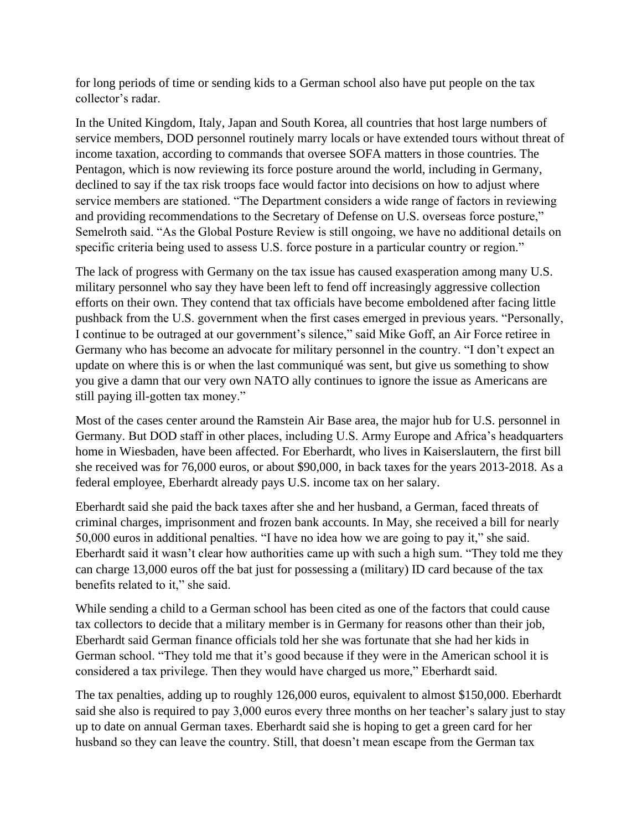for long periods of time or sending kids to a German school also have put people on the tax collector's radar.

In the United Kingdom, Italy, Japan and South Korea, all countries that host large numbers of service members, DOD personnel routinely marry locals or have extended tours without threat of income taxation, according to commands that oversee SOFA matters in those countries. The Pentagon, which is now reviewing its force posture around the world, including in Germany, declined to say if the tax risk troops face would factor into decisions on how to adjust where service members are stationed. "The Department considers a wide range of factors in reviewing and providing recommendations to the Secretary of Defense on U.S. overseas force posture," Semelroth said. "As the Global Posture Review is still ongoing, we have no additional details on specific criteria being used to assess U.S. force posture in a particular country or region."

The lack of progress with Germany on the tax issue has caused exasperation among many U.S. military personnel who say they have been left to fend off increasingly aggressive collection efforts on their own. They contend that tax officials have become emboldened after facing little pushback from the U.S. government when the first cases emerged in previous years. "Personally, I continue to be outraged at our government's silence," said Mike Goff, an Air Force retiree in Germany who has become an advocate for military personnel in the country. "I don't expect an update on where this is or when the last communiqué was sent, but give us something to show you give a damn that our very own NATO ally continues to ignore the issue as Americans are still paying ill-gotten tax money."

Most of the cases center around the Ramstein Air Base area, the major hub for U.S. personnel in Germany. But DOD staff in other places, including U.S. Army Europe and Africa's headquarters home in Wiesbaden, have been affected. For Eberhardt, who lives in Kaiserslautern, the first bill she received was for 76,000 euros, or about \$90,000, in back taxes for the years 2013-2018. As a federal employee, Eberhardt already pays U.S. income tax on her salary.

Eberhardt said she paid the back taxes after she and her husband, a German, faced threats of criminal charges, imprisonment and frozen bank accounts. In May, she received a bill for nearly 50,000 euros in additional penalties. "I have no idea how we are going to pay it," she said. Eberhardt said it wasn't clear how authorities came up with such a high sum. "They told me they can charge 13,000 euros off the bat just for possessing a (military) ID card because of the tax benefits related to it," she said.

While sending a child to a German school has been cited as one of the factors that could cause tax collectors to decide that a military member is in Germany for reasons other than their job, Eberhardt said German finance officials told her she was fortunate that she had her kids in German school. "They told me that it's good because if they were in the American school it is considered a tax privilege. Then they would have charged us more," Eberhardt said.

The tax penalties, adding up to roughly 126,000 euros, equivalent to almost \$150,000. Eberhardt said she also is required to pay 3,000 euros every three months on her teacher's salary just to stay up to date on annual German taxes. Eberhardt said she is hoping to get a green card for her husband so they can leave the country. Still, that doesn't mean escape from the German tax